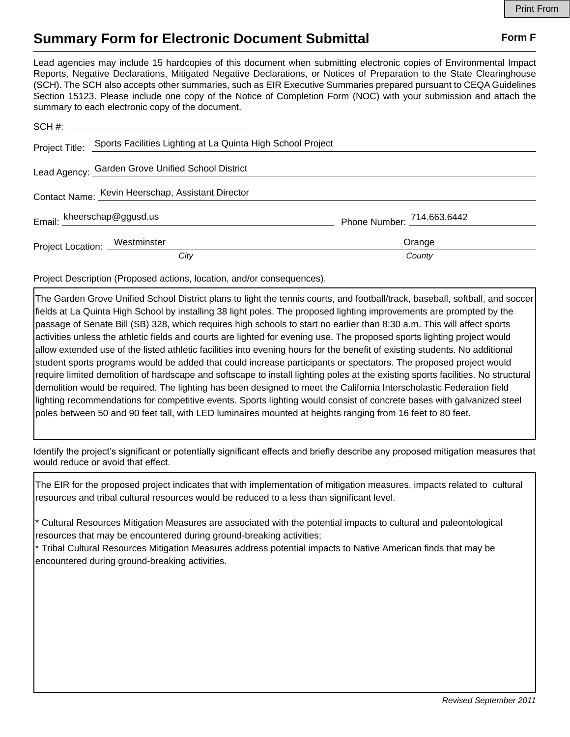## **Summary Form for Electronic Document Submittal Form F Form F**

Lead agencies may include 15 hardcopies of this document when submitting electronic copies of Environmental Impact Reports, Negative Declarations, Mitigated Negative Declarations, or Notices of Preparation to the State Clearinghouse (SCH). The SCH also accepts other summaries, such as EIR Executive Summaries prepared pursuant to CEQA Guidelines Section 15123. Please include one copy of the Notice of Completion Form (NOC) with your submission and attach the summary to each electronic copy of the document.

|                                                   | Project Title: Sports Facilities Lighting at La Quinta High School Project |                            |
|---------------------------------------------------|----------------------------------------------------------------------------|----------------------------|
|                                                   | Lead Agency: Garden Grove Unified School District                          |                            |
| Contact Name: Kevin Heerschap, Assistant Director |                                                                            |                            |
|                                                   | Email: kheerschap@ggusd.us                                                 | Phone Number: 714.663.6442 |
| Project Location: Westminster                     |                                                                            | Orange                     |
|                                                   | City                                                                       | County                     |

Project Description (Proposed actions, location, and/or consequences).

The Garden Grove Unified School District plans to light the tennis courts, and football/track, baseball, softball, and soccer fields at La Quinta High School by installing 38 light poles. The proposed lighting improvements are prompted by the passage of Senate Bill (SB) 328, which requires high schools to start no earlier than 8:30 a.m. This will affect sports activities unless the athletic fields and courts are lighted for evening use. The proposed sports lighting project would allow extended use of the listed athletic facilities into evening hours for the benefit of existing students. No additional student sports programs would be added that could increase participants or spectators. The proposed project would require limited demolition of hardscape and softscape to install lighting poles at the existing sports facilities. No structural demolition would be required. The lighting has been designed to meet the California Interscholastic Federation field lighting recommendations for competitive events. Sports lighting would consist of concrete bases with galvanized steel poles between 50 and 90 feet tall, with LED luminaires mounted at heights ranging from 16 feet to 80 feet.

Identify the project's significant or potentially significant effects and briefly describe any proposed mitigation measures that would reduce or avoid that effect.

The EIR for the proposed project indicates that with implementation of mitigation measures, impacts related to cultural resources and tribal cultural resources would be reduced to a less than significant level.

\* Cultural Resources Mitigation Measures are associated with the potential impacts to cultural and paleontological resources that may be encountered during ground-breaking activities;

\* Tribal Cultural Resources Mitigation Measures address potential impacts to Native American finds that may be encountered during ground-breaking activities.